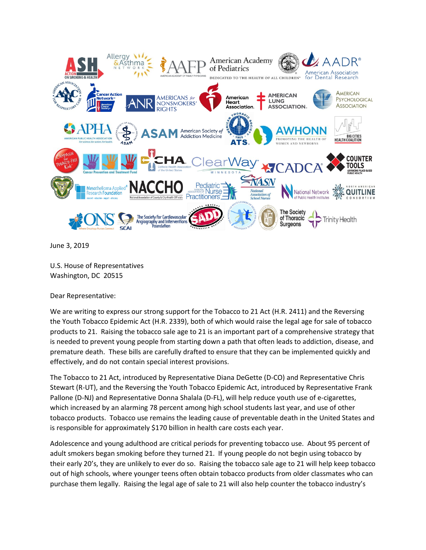

June 3, 2019

U.S. House of Representatives Washington, DC 20515

Dear Representative:

We are writing to express our strong support for the Tobacco to 21 Act (H.R. 2411) and the Reversing the Youth Tobacco Epidemic Act (H.R. 2339), both of which would raise the legal age for sale of tobacco products to 21. Raising the tobacco sale age to 21 is an important part of a comprehensive strategy that is needed to prevent young people from starting down a path that often leads to addiction, disease, and premature death. These bills are carefully drafted to ensure that they can be implemented quickly and effectively, and do not contain special interest provisions.

The Tobacco to 21 Act, introduced by Representative Diana DeGette (D-CO) and Representative Chris Stewart (R-UT), and the Reversing the Youth Tobacco Epidemic Act, introduced by Representative Frank Pallone (D-NJ) and Representative Donna Shalala (D-FL), will help reduce youth use of e-cigarettes, which increased by an alarming 78 percent among high school students last year, and use of other tobacco products. Tobacco use remains the leading cause of preventable death in the United States and is responsible for approximately \$170 billion in health care costs each year.

Adolescence and young adulthood are critical periods for preventing tobacco use. About 95 percent of adult smokers began smoking before they turned 21. If young people do not begin using tobacco by their early 20's, they are unlikely to ever do so. Raising the tobacco sale age to 21 will help keep tobacco out of high schools, where younger teens often obtain tobacco products from older classmates who can purchase them legally. Raising the legal age of sale to 21 will also help counter the tobacco industry's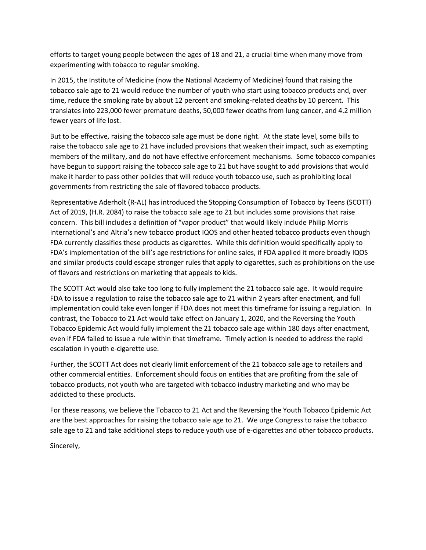efforts to target young people between the ages of 18 and 21, a crucial time when many move from experimenting with tobacco to regular smoking.

In 2015, the Institute of Medicine (now the National Academy of Medicine) found that raising the tobacco sale age to 21 would reduce the number of youth who start using tobacco products and, over time, reduce the smoking rate by about 12 percent and smoking-related deaths by 10 percent. This translates into 223,000 fewer premature deaths, 50,000 fewer deaths from lung cancer, and 4.2 million fewer years of life lost.

But to be effective, raising the tobacco sale age must be done right. At the state level, some bills to raise the tobacco sale age to 21 have included provisions that weaken their impact, such as exempting members of the military, and do not have effective enforcement mechanisms. Some tobacco companies have begun to support raising the tobacco sale age to 21 but have sought to add provisions that would make it harder to pass other policies that will reduce youth tobacco use, such as prohibiting local governments from restricting the sale of flavored tobacco products.

Representative Aderholt (R-AL) has introduced the Stopping Consumption of Tobacco by Teens (SCOTT) Act of 2019, (H.R. 2084) to raise the tobacco sale age to 21 but includes some provisions that raise concern. This bill includes a definition of "vapor product" that would likely include Philip Morris International's and Altria's new tobacco product IQOS and other heated tobacco products even though FDA currently classifies these products as cigarettes. While this definition would specifically apply to FDA's implementation of the bill's age restrictions for online sales, if FDA applied it more broadly IQOS and similar products could escape stronger rules that apply to cigarettes, such as prohibitions on the use of flavors and restrictions on marketing that appeals to kids.

The SCOTT Act would also take too long to fully implement the 21 tobacco sale age. It would require FDA to issue a regulation to raise the tobacco sale age to 21 within 2 years after enactment, and full implementation could take even longer if FDA does not meet this timeframe for issuing a regulation. In contrast, the Tobacco to 21 Act would take effect on January 1, 2020, and the Reversing the Youth Tobacco Epidemic Act would fully implement the 21 tobacco sale age within 180 days after enactment, even if FDA failed to issue a rule within that timeframe. Timely action is needed to address the rapid escalation in youth e-cigarette use.

Further, the SCOTT Act does not clearly limit enforcement of the 21 tobacco sale age to retailers and other commercial entities. Enforcement should focus on entities that are profiting from the sale of tobacco products, not youth who are targeted with tobacco industry marketing and who may be addicted to these products.

For these reasons, we believe the Tobacco to 21 Act and the Reversing the Youth Tobacco Epidemic Act are the best approaches for raising the tobacco sale age to 21. We urge Congress to raise the tobacco sale age to 21 and take additional steps to reduce youth use of e-cigarettes and other tobacco products.

Sincerely,